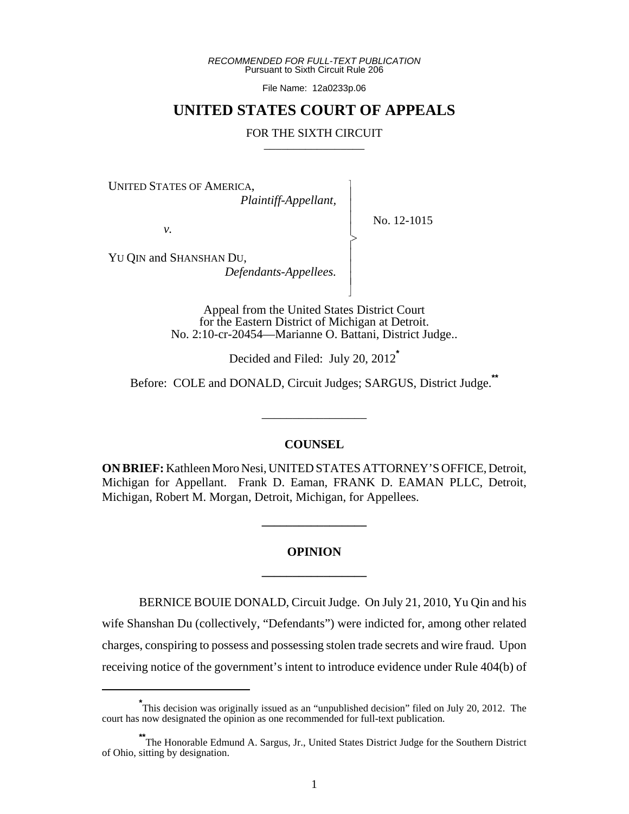*RECOMMENDED FOR FULL-TEXT PUBLICATION* Pursuant to Sixth Circuit Rule 206

File Name: 12a0233p.06

## **UNITED STATES COURT OF APPEALS**

#### FOR THE SIXTH CIRCUIT

 $\overline{\phantom{a}}$ - - - > , - - - N

UNITED STATES OF AMERICA,

 *Plaintiff-Appellant,*

No. 12-1015

YU QIN and SHANSHAN DU,

*v.*

 *Defendants-Appellees.*

Appeal from the United States District Court for the Eastern District of Michigan at Detroit. No. 2:10-cr-20454—Marianne O. Battani, District Judge..

Decided and Filed: July 20, 2012**\***

Before: COLE and DONALD, Circuit Judges; SARGUS, District Judge.**\*\***

#### **COUNSEL**

\_\_\_\_\_\_\_\_\_\_\_\_\_\_\_\_\_

**ON BRIEF:** Kathleen Moro Nesi, UNITED STATES ATTORNEY'S OFFICE, Detroit, Michigan for Appellant. Frank D. Eaman, FRANK D. EAMAN PLLC, Detroit, Michigan, Robert M. Morgan, Detroit, Michigan, for Appellees.

# **OPINION \_\_\_\_\_\_\_\_\_\_\_\_\_\_\_\_\_**

**\_\_\_\_\_\_\_\_\_\_\_\_\_\_\_\_\_**

BERNICE BOUIE DONALD, Circuit Judge. On July 21, 2010, Yu Qin and his wife Shanshan Du (collectively, "Defendants") were indicted for, among other related charges, conspiring to possess and possessing stolen trade secrets and wire fraud. Upon receiving notice of the government's intent to introduce evidence under Rule 404(b) of

<sup>\*&</sup>lt;br>This decision was originally issued as an "unpublished decision" filed on July 20, 2012. The court has now designated the opinion as one recommended for full-text publication.

**<sup>\*\*</sup>**The Honorable Edmund A. Sargus, Jr., United States District Judge for the Southern District of Ohio, sitting by designation.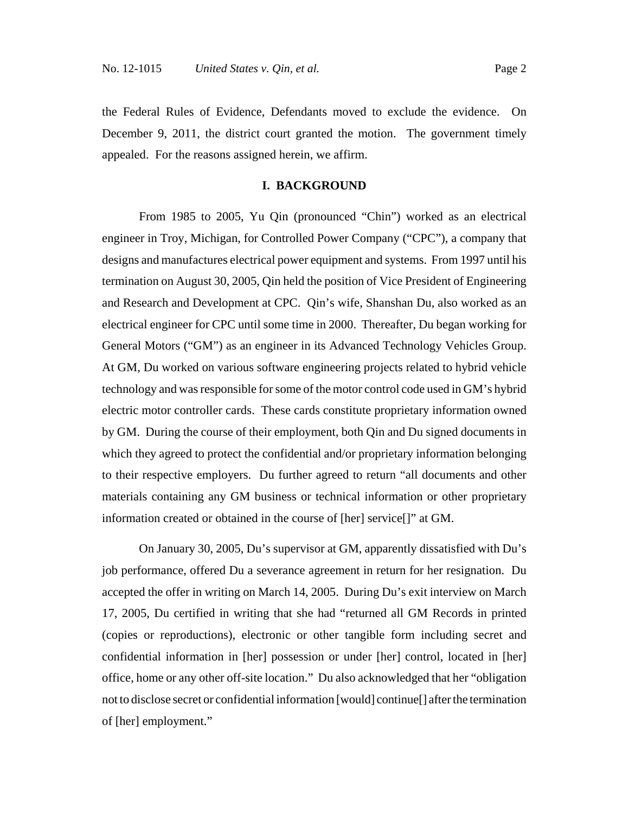the Federal Rules of Evidence, Defendants moved to exclude the evidence. On December 9, 2011, the district court granted the motion. The government timely appealed. For the reasons assigned herein, we affirm.

### **I. BACKGROUND**

From 1985 to 2005, Yu Qin (pronounced "Chin") worked as an electrical engineer in Troy, Michigan, for Controlled Power Company ("CPC"), a company that designs and manufactures electrical power equipment and systems. From 1997 until his termination on August 30, 2005, Qin held the position of Vice President of Engineering and Research and Development at CPC. Qin's wife, Shanshan Du, also worked as an electrical engineer for CPC until some time in 2000. Thereafter, Du began working for General Motors ("GM") as an engineer in its Advanced Technology Vehicles Group. At GM, Du worked on various software engineering projects related to hybrid vehicle technology and was responsible for some of the motor control code used in GM's hybrid electric motor controller cards. These cards constitute proprietary information owned by GM. During the course of their employment, both Qin and Du signed documents in which they agreed to protect the confidential and/or proprietary information belonging to their respective employers. Du further agreed to return "all documents and other materials containing any GM business or technical information or other proprietary information created or obtained in the course of [her] service[]" at GM.

On January 30, 2005, Du's supervisor at GM, apparently dissatisfied with Du's job performance, offered Du a severance agreement in return for her resignation. Du accepted the offer in writing on March 14, 2005. During Du's exit interview on March 17, 2005, Du certified in writing that she had "returned all GM Records in printed (copies or reproductions), electronic or other tangible form including secret and confidential information in [her] possession or under [her] control, located in [her] office, home or any other off-site location." Du also acknowledged that her "obligation not to disclose secret or confidential information [would] continue[] after the termination of [her] employment."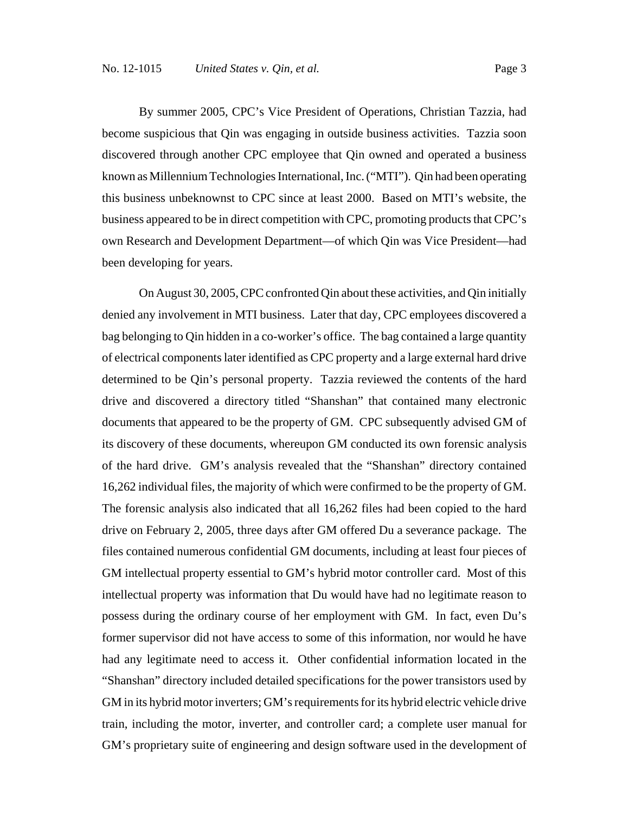become suspicious that Qin was engaging in outside business activities. Tazzia soon discovered through another CPC employee that Qin owned and operated a business known as Millennium Technologies International, Inc. ("MTI"). Qin had been operating this business unbeknownst to CPC since at least 2000. Based on MTI's website, the business appeared to be in direct competition with CPC, promoting products that CPC's own Research and Development Department—of which Qin was Vice President—had been developing for years.

On August 30, 2005, CPC confronted Qin about these activities, and Qin initially denied any involvement in MTI business. Later that day, CPC employees discovered a bag belonging to Qin hidden in a co-worker's office. The bag contained a large quantity of electrical components later identified as CPC property and a large external hard drive determined to be Qin's personal property. Tazzia reviewed the contents of the hard drive and discovered a directory titled "Shanshan" that contained many electronic documents that appeared to be the property of GM. CPC subsequently advised GM of its discovery of these documents, whereupon GM conducted its own forensic analysis of the hard drive. GM's analysis revealed that the "Shanshan" directory contained 16,262 individual files, the majority of which were confirmed to be the property of GM. The forensic analysis also indicated that all 16,262 files had been copied to the hard drive on February 2, 2005, three days after GM offered Du a severance package. The files contained numerous confidential GM documents, including at least four pieces of GM intellectual property essential to GM's hybrid motor controller card. Most of this intellectual property was information that Du would have had no legitimate reason to possess during the ordinary course of her employment with GM. In fact, even Du's former supervisor did not have access to some of this information, nor would he have had any legitimate need to access it. Other confidential information located in the "Shanshan" directory included detailed specifications for the power transistors used by GM in its hybrid motor inverters; GM's requirements for its hybrid electric vehicle drive train, including the motor, inverter, and controller card; a complete user manual for GM's proprietary suite of engineering and design software used in the development of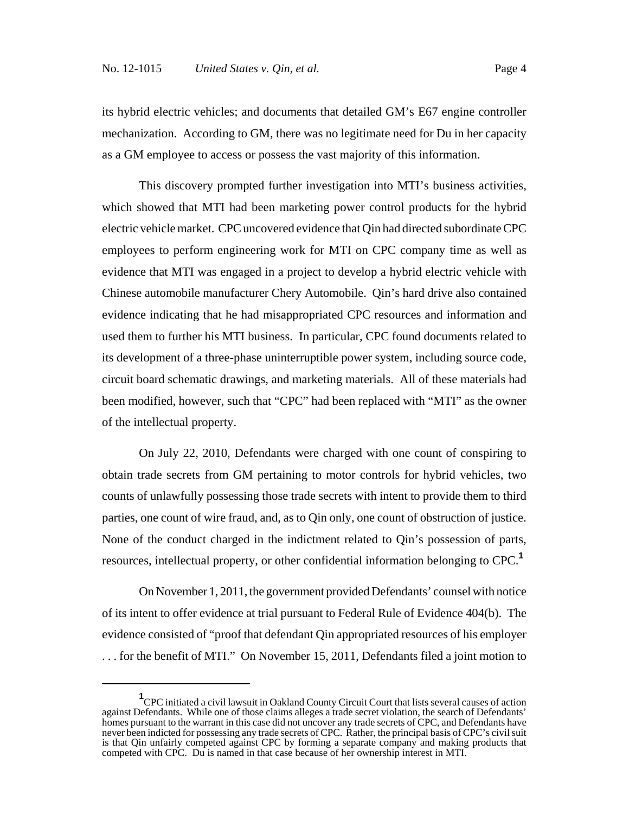its hybrid electric vehicles; and documents that detailed GM's E67 engine controller mechanization. According to GM, there was no legitimate need for Du in her capacity as a GM employee to access or possess the vast majority of this information.

This discovery prompted further investigation into MTI's business activities, which showed that MTI had been marketing power control products for the hybrid electric vehicle market. CPC uncovered evidence that Qin had directed subordinate CPC employees to perform engineering work for MTI on CPC company time as well as evidence that MTI was engaged in a project to develop a hybrid electric vehicle with Chinese automobile manufacturer Chery Automobile. Qin's hard drive also contained evidence indicating that he had misappropriated CPC resources and information and used them to further his MTI business. In particular, CPC found documents related to its development of a three-phase uninterruptible power system, including source code, circuit board schematic drawings, and marketing materials. All of these materials had been modified, however, such that "CPC" had been replaced with "MTI" as the owner of the intellectual property.

On July 22, 2010, Defendants were charged with one count of conspiring to obtain trade secrets from GM pertaining to motor controls for hybrid vehicles, two counts of unlawfully possessing those trade secrets with intent to provide them to third parties, one count of wire fraud, and, as to Qin only, one count of obstruction of justice. None of the conduct charged in the indictment related to Qin's possession of parts, resources, intellectual property, or other confidential information belonging to CPC.**<sup>1</sup>**

On November 1, 2011, the government provided Defendants' counsel with notice of its intent to offer evidence at trial pursuant to Federal Rule of Evidence 404(b). The evidence consisted of "proof that defendant Qin appropriated resources of his employer . . . for the benefit of MTI." On November 15, 2011, Defendants filed a joint motion to

<sup>&</sup>lt;sup>1</sup> CPC initiated a civil lawsuit in Oakland County Circuit Court that lists several causes of action against Defendants. While one of those claims alleges a trade secret violation, the search of Defendants' homes pursuant to the warrant in this case did not uncover any trade secrets of CPC, and Defendants have never been indicted for possessing any trade secrets of CPC. Rather, the principal basis of CPC's civil suit is that Qin unfairly competed against CPC by forming a separate company and making products that competed with CPC. Du is named in that case because of her ownership interest in MTI.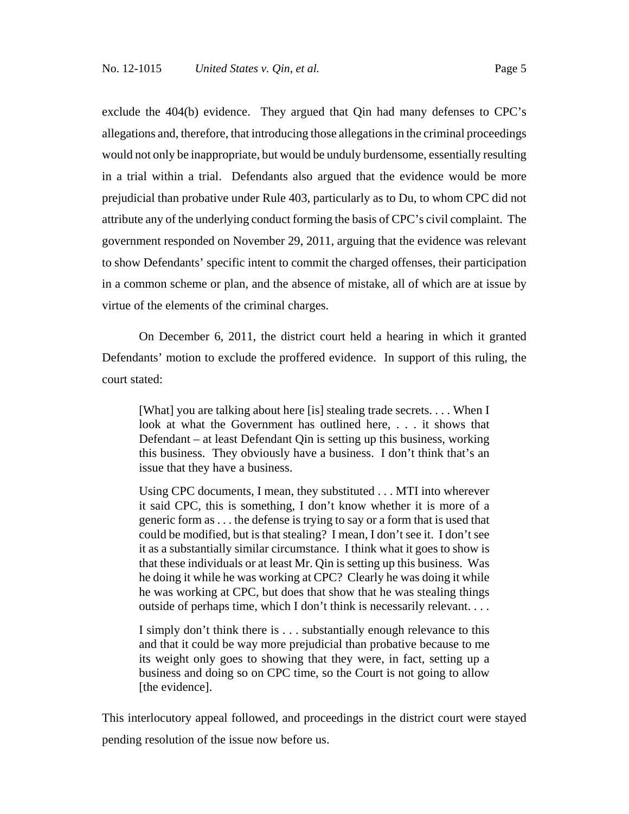exclude the 404(b) evidence. They argued that Qin had many defenses to CPC's allegations and, therefore, that introducing those allegations in the criminal proceedings would not only be inappropriate, but would be unduly burdensome, essentially resulting in a trial within a trial. Defendants also argued that the evidence would be more prejudicial than probative under Rule 403, particularly as to Du, to whom CPC did not attribute any of the underlying conduct forming the basis of CPC's civil complaint. The government responded on November 29, 2011, arguing that the evidence was relevant to show Defendants' specific intent to commit the charged offenses, their participation in a common scheme or plan, and the absence of mistake, all of which are at issue by virtue of the elements of the criminal charges.

On December 6, 2011, the district court held a hearing in which it granted Defendants' motion to exclude the proffered evidence. In support of this ruling, the court stated:

[What] you are talking about here [is] stealing trade secrets. . . . When I look at what the Government has outlined here, . . . it shows that Defendant – at least Defendant Qin is setting up this business, working this business. They obviously have a business. I don't think that's an issue that they have a business.

Using CPC documents, I mean, they substituted . . . MTI into wherever it said CPC, this is something, I don't know whether it is more of a generic form as . . . the defense is trying to say or a form that is used that could be modified, but is that stealing? I mean, I don't see it. I don't see it as a substantially similar circumstance. I think what it goes to show is that these individuals or at least Mr. Qin is setting up this business. Was he doing it while he was working at CPC? Clearly he was doing it while he was working at CPC, but does that show that he was stealing things outside of perhaps time, which I don't think is necessarily relevant. . . .

I simply don't think there is . . . substantially enough relevance to this and that it could be way more prejudicial than probative because to me its weight only goes to showing that they were, in fact, setting up a business and doing so on CPC time, so the Court is not going to allow [the evidence].

This interlocutory appeal followed, and proceedings in the district court were stayed pending resolution of the issue now before us.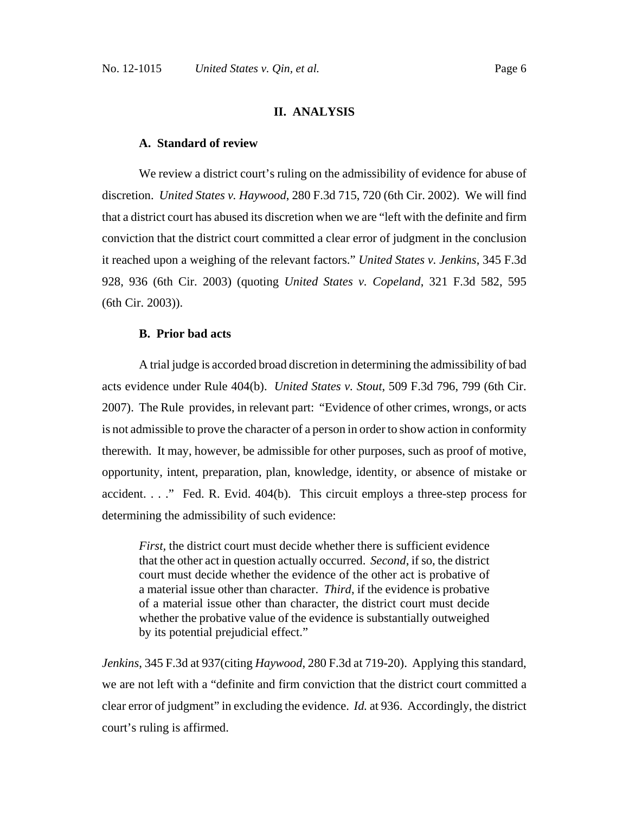## **II. ANALYSIS**

## **A. Standard of review**

We review a district court's ruling on the admissibility of evidence for abuse of discretion. *United States v. Haywood*, 280 F.3d 715, 720 (6th Cir. 2002). We will find that a district court has abused its discretion when we are "left with the definite and firm conviction that the district court committed a clear error of judgment in the conclusion it reached upon a weighing of the relevant factors." *United States v. Jenkins*, 345 F.3d 928, 936 (6th Cir. 2003) (quoting *United States v. Copeland*, 321 F.3d 582, 595 (6th Cir. 2003)).

### **B. Prior bad acts**

A trial judge is accorded broad discretion in determining the admissibility of bad acts evidence under Rule 404(b). *United States v. Stout*, 509 F.3d 796, 799 (6th Cir. 2007). The Rule provides, in relevant part: "Evidence of other crimes, wrongs, or acts is not admissible to prove the character of a person in order to show action in conformity therewith. It may, however, be admissible for other purposes, such as proof of motive, opportunity, intent, preparation, plan, knowledge, identity, or absence of mistake or accident. . . ." Fed. R. Evid. 404(b). This circuit employs a three-step process for determining the admissibility of such evidence:

*First*, the district court must decide whether there is sufficient evidence that the other act in question actually occurred. *Second*, if so, the district court must decide whether the evidence of the other act is probative of a material issue other than character. *Third*, if the evidence is probative of a material issue other than character, the district court must decide whether the probative value of the evidence is substantially outweighed by its potential prejudicial effect."

*Jenkins*, 345 F.3d at 937(citing *Haywood*, 280 F.3d at 719-20). Applying this standard, we are not left with a "definite and firm conviction that the district court committed a clear error of judgment" in excluding the evidence. *Id.* at 936. Accordingly, the district court's ruling is affirmed.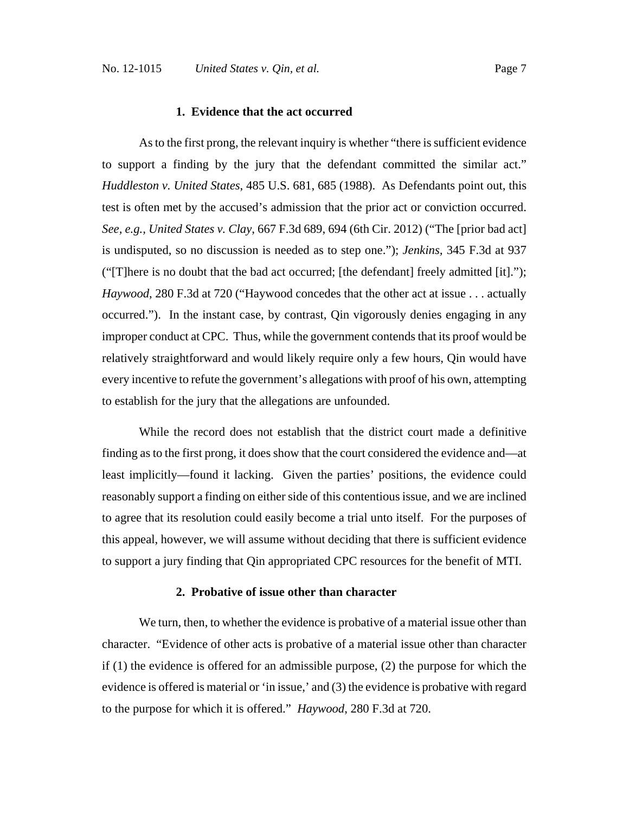## **1. Evidence that the act occurred**

As to the first prong, the relevant inquiry is whether "there is sufficient evidence to support a finding by the jury that the defendant committed the similar act." *Huddleston v. United States*, 485 U.S. 681, 685 (1988). As Defendants point out, this test is often met by the accused's admission that the prior act or conviction occurred. *See, e.g., United States v. Clay*, 667 F.3d 689, 694 (6th Cir. 2012) ("The [prior bad act] is undisputed, so no discussion is needed as to step one."); *Jenkins,* 345 F.3d at 937 ("[T]here is no doubt that the bad act occurred; [the defendant] freely admitted [it]."); *Haywood*, 280 F.3d at 720 ("Haywood concedes that the other act at issue . . . actually occurred."). In the instant case, by contrast, Qin vigorously denies engaging in any improper conduct at CPC. Thus, while the government contends that its proof would be relatively straightforward and would likely require only a few hours, Qin would have every incentive to refute the government's allegations with proof of his own, attempting to establish for the jury that the allegations are unfounded.

While the record does not establish that the district court made a definitive finding as to the first prong, it does show that the court considered the evidence and—at least implicitly—found it lacking. Given the parties' positions, the evidence could reasonably support a finding on either side of this contentious issue, and we are inclined to agree that its resolution could easily become a trial unto itself. For the purposes of this appeal, however, we will assume without deciding that there is sufficient evidence to support a jury finding that Qin appropriated CPC resources for the benefit of MTI.

#### **2. Probative of issue other than character**

We turn, then, to whether the evidence is probative of a material issue other than character. "Evidence of other acts is probative of a material issue other than character if (1) the evidence is offered for an admissible purpose, (2) the purpose for which the evidence is offered is material or 'in issue,' and (3) the evidence is probative with regard to the purpose for which it is offered." *Haywood*, 280 F.3d at 720.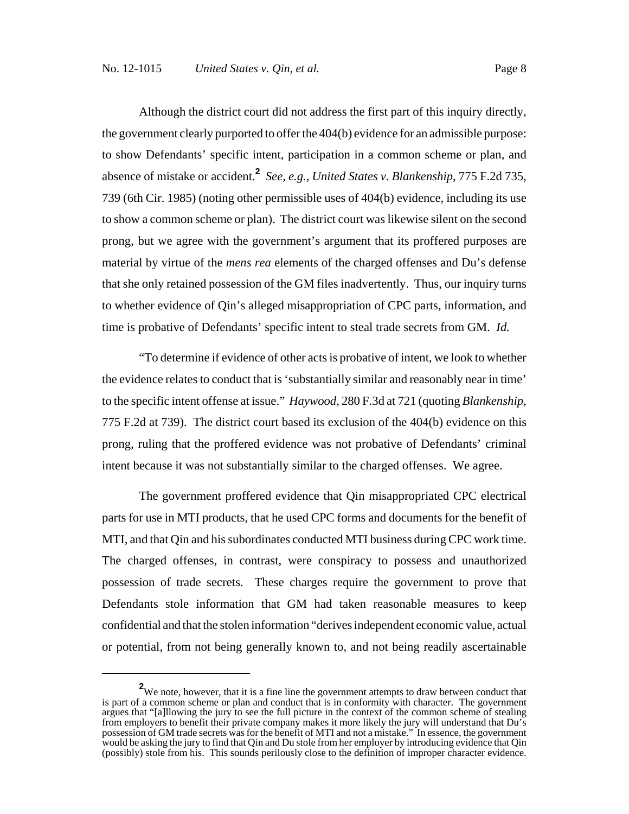Although the district court did not address the first part of this inquiry directly, the government clearly purported to offer the 404(b) evidence for an admissible purpose: to show Defendants' specific intent, participation in a common scheme or plan, and absence of mistake or accident.**<sup>2</sup>** *See, e.g., United States v. Blankenship*, 775 F.2d 735, 739 (6th Cir. 1985) (noting other permissible uses of 404(b) evidence, including its use to show a common scheme or plan). The district court was likewise silent on the second prong, but we agree with the government's argument that its proffered purposes are material by virtue of the *mens rea* elements of the charged offenses and Du's defense that she only retained possession of the GM files inadvertently. Thus, our inquiry turns to whether evidence of Qin's alleged misappropriation of CPC parts, information, and time is probative of Defendants' specific intent to steal trade secrets from GM. *Id.*

"To determine if evidence of other acts is probative of intent, we look to whether the evidence relates to conduct that is 'substantially similar and reasonably near in time' to the specific intent offense at issue." *Haywood*, 280 F.3d at 721 (quoting *Blankenship*, 775 F.2d at 739). The district court based its exclusion of the 404(b) evidence on this prong, ruling that the proffered evidence was not probative of Defendants' criminal intent because it was not substantially similar to the charged offenses. We agree.

The government proffered evidence that Qin misappropriated CPC electrical parts for use in MTI products, that he used CPC forms and documents for the benefit of MTI, and that Qin and his subordinates conducted MTI business during CPC work time. The charged offenses, in contrast, were conspiracy to possess and unauthorized possession of trade secrets. These charges require the government to prove that Defendants stole information that GM had taken reasonable measures to keep confidential and that the stolen information "derives independent economic value, actual or potential, from not being generally known to, and not being readily ascertainable

**<sup>2</sup>** We note, however, that it is a fine line the government attempts to draw between conduct that is part of a common scheme or plan and conduct that is in conformity with character. The government argues that "[a]llowing the jury to see the full picture in the context of the common scheme of stealing from employers to benefit their private company makes it more likely the jury will understand that Du's possession of GM trade secrets was for the benefit of MTI and not a mistake." In essence, the government would be asking the jury to find that Qin and Du stole from her employer by introducing evidence that Qin (possibly) stole from his. This sounds perilously close to the definition of improper character evidence.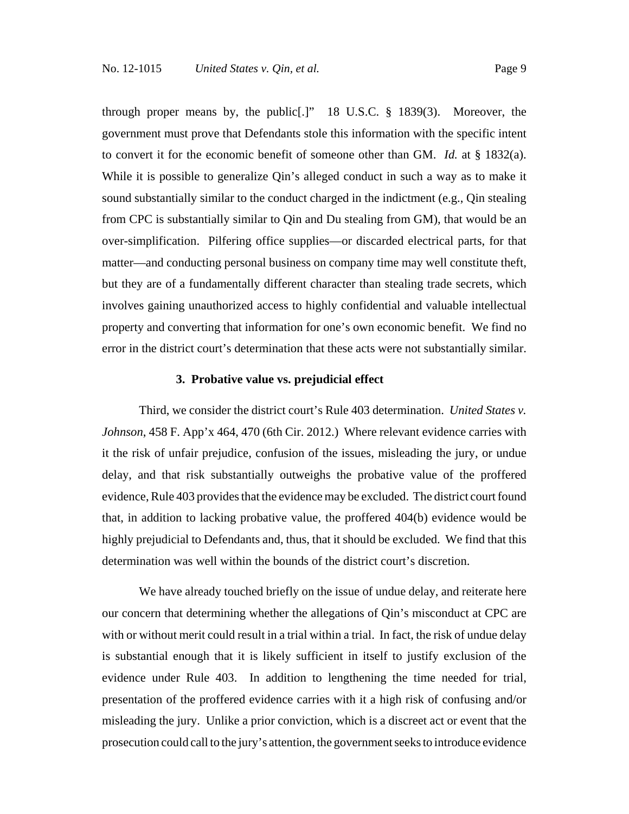through proper means by, the public[.]" 18 U.S.C. § 1839(3). Moreover, the government must prove that Defendants stole this information with the specific intent to convert it for the economic benefit of someone other than GM. *Id.* at § 1832(a). While it is possible to generalize Qin's alleged conduct in such a way as to make it sound substantially similar to the conduct charged in the indictment (e.g., Qin stealing from CPC is substantially similar to Qin and Du stealing from GM), that would be an over-simplification. Pilfering office supplies—or discarded electrical parts, for that matter—and conducting personal business on company time may well constitute theft, but they are of a fundamentally different character than stealing trade secrets, which involves gaining unauthorized access to highly confidential and valuable intellectual property and converting that information for one's own economic benefit. We find no error in the district court's determination that these acts were not substantially similar.

#### **3. Probative value vs. prejudicial effect**

Third, we consider the district court's Rule 403 determination. *United States v. Johnson*, 458 F. App'x 464, 470 (6th Cir. 2012.) Where relevant evidence carries with it the risk of unfair prejudice, confusion of the issues, misleading the jury, or undue delay, and that risk substantially outweighs the probative value of the proffered evidence, Rule 403 provides that the evidence may be excluded. The district court found that, in addition to lacking probative value, the proffered 404(b) evidence would be highly prejudicial to Defendants and, thus, that it should be excluded. We find that this determination was well within the bounds of the district court's discretion.

We have already touched briefly on the issue of undue delay, and reiterate here our concern that determining whether the allegations of Qin's misconduct at CPC are with or without merit could result in a trial within a trial. In fact, the risk of undue delay is substantial enough that it is likely sufficient in itself to justify exclusion of the evidence under Rule 403. In addition to lengthening the time needed for trial, presentation of the proffered evidence carries with it a high risk of confusing and/or misleading the jury. Unlike a prior conviction, which is a discreet act or event that the prosecution could call to the jury's attention, the government seeks to introduce evidence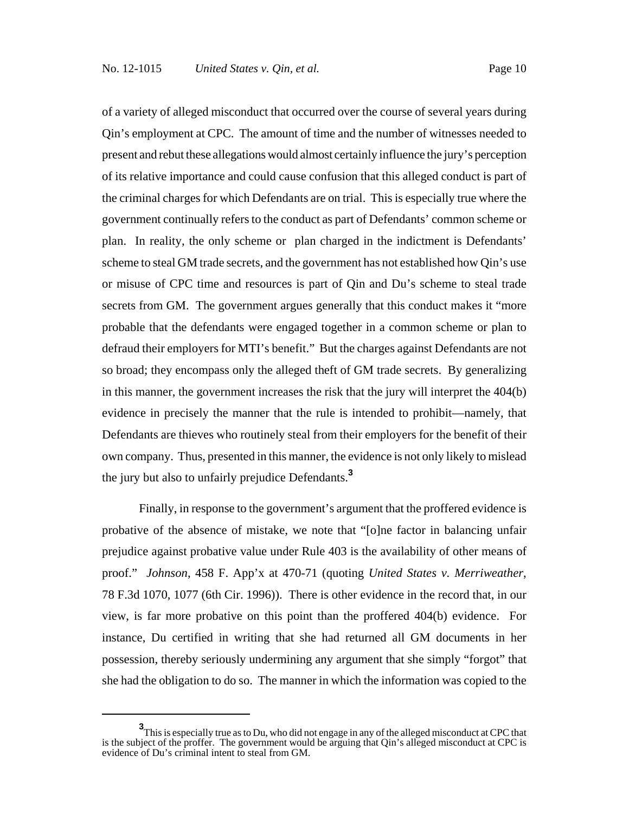of a variety of alleged misconduct that occurred over the course of several years during Qin's employment at CPC. The amount of time and the number of witnesses needed to present and rebut these allegations would almost certainly influence the jury's perception of its relative importance and could cause confusion that this alleged conduct is part of the criminal charges for which Defendants are on trial. This is especially true where the government continually refers to the conduct as part of Defendants' common scheme or plan. In reality, the only scheme or plan charged in the indictment is Defendants' scheme to steal GM trade secrets, and the government has not established how Qin's use or misuse of CPC time and resources is part of Qin and Du's scheme to steal trade secrets from GM. The government argues generally that this conduct makes it "more probable that the defendants were engaged together in a common scheme or plan to defraud their employers for MTI's benefit." But the charges against Defendants are not so broad; they encompass only the alleged theft of GM trade secrets. By generalizing in this manner, the government increases the risk that the jury will interpret the 404(b) evidence in precisely the manner that the rule is intended to prohibit—namely, that Defendants are thieves who routinely steal from their employers for the benefit of their own company. Thus, presented in this manner, the evidence is not only likely to mislead the jury but also to unfairly prejudice Defendants.**<sup>3</sup>**

Finally, in response to the government's argument that the proffered evidence is probative of the absence of mistake, we note that "[o]ne factor in balancing unfair prejudice against probative value under Rule 403 is the availability of other means of proof." *Johnson*, 458 F. App'x at 470-71 (quoting *United States v. Merriweather*, 78 F.3d 1070, 1077 (6th Cir. 1996)). There is other evidence in the record that, in our view, is far more probative on this point than the proffered 404(b) evidence. For instance, Du certified in writing that she had returned all GM documents in her possession, thereby seriously undermining any argument that she simply "forgot" that she had the obligation to do so. The manner in which the information was copied to the

**<sup>3</sup>** This is especially true as to Du, who did not engage in any of the alleged misconduct at CPC that is the subject of the proffer. The government would be arguing that Qin's alleged misconduct at CPC is evidence of Du's criminal intent to steal from GM.